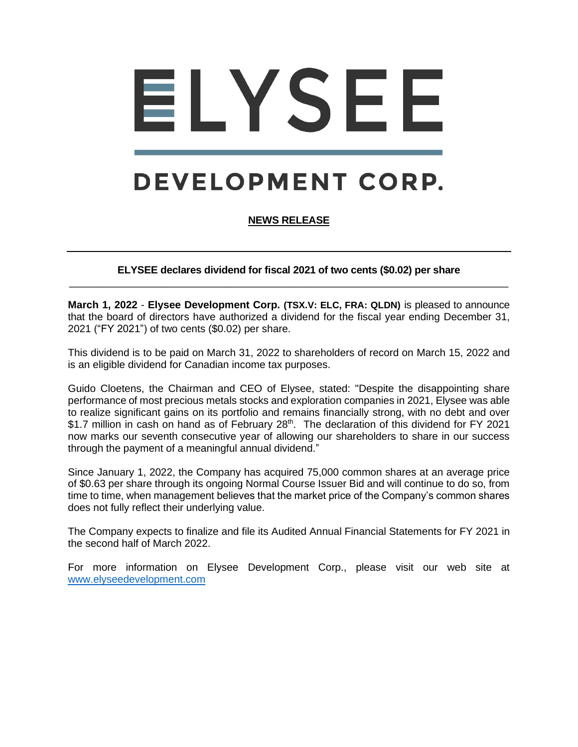## ELYSEE

## DEVELOPMENT CORP.

## **NEWS RELEASE**

**ELYSEE declares dividend for fiscal 2021 of two cents (\$0.02) per share** \_\_\_\_\_\_\_\_\_\_\_\_\_\_\_\_\_\_\_\_\_\_\_\_\_\_\_\_\_\_\_\_\_\_\_\_\_\_\_\_\_\_\_\_\_\_\_\_\_\_\_\_\_\_\_\_\_\_\_\_\_\_\_\_\_\_\_\_\_\_\_\_\_\_\_\_

**March 1, 2022** - **Elysee Development Corp. (TSX.V: ELC, FRA: QLDN)** is pleased to announce that the board of directors have authorized a dividend for the fiscal year ending December 31, 2021 ("FY 2021") of two cents (\$0.02) per share.

This dividend is to be paid on March 31, 2022 to shareholders of record on March 15, 2022 and is an eligible dividend for Canadian income tax purposes.

Guido Cloetens, the Chairman and CEO of Elysee, stated: "Despite the disappointing share performance of most precious metals stocks and exploration companies in 2021, Elysee was able to realize significant gains on its portfolio and remains financially strong, with no debt and over \$1.7 million in cash on hand as of February 28<sup>th</sup>. The declaration of this dividend for FY 2021 now marks our seventh consecutive year of allowing our shareholders to share in our success through the payment of a meaningful annual dividend."

Since January 1, 2022, the Company has acquired 75,000 common shares at an average price of \$0.63 per share through its ongoing Normal Course Issuer Bid and will continue to do so, from time to time, when management believes that the market price of the Company's common shares does not fully reflect their underlying value.

The Company expects to finalize and file its Audited Annual Financial Statements for FY 2021 in the second half of March 2022.

For more information on Elysee Development Corp., please visit our web site at [www.elyseedevelopment.com](http://www.elyseedevelopment.com/)